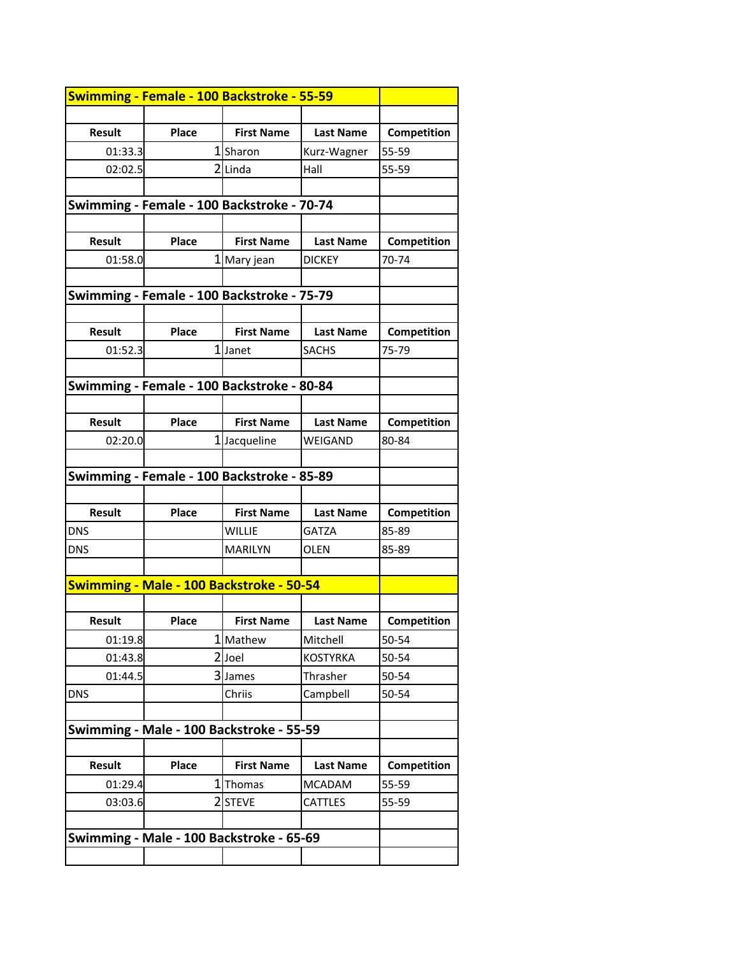|               | Swimming - Female - 100 Backstroke - 55-59 |                   |                  |             |
|---------------|--------------------------------------------|-------------------|------------------|-------------|
|               |                                            |                   |                  |             |
| <b>Result</b> | Place                                      | <b>First Name</b> | <b>Last Name</b> | Competition |
| 01:33.3       |                                            | 1Sharon           | Kurz-Wagner      | 55-59       |
| 02:02.5       |                                            | $2$ Linda         | Hall             | 55-59       |
|               |                                            |                   |                  |             |
|               | Swimming - Female - 100 Backstroke - 70-74 |                   |                  |             |
|               |                                            |                   |                  |             |
| <b>Result</b> | Place                                      | <b>First Name</b> | <b>Last Name</b> | Competition |
| 01:58.0       |                                            | 1 Mary jean       | <b>DICKEY</b>    | 70-74       |
|               |                                            |                   |                  |             |
|               | Swimming - Female - 100 Backstroke - 75-79 |                   |                  |             |
|               |                                            |                   |                  |             |
| <b>Result</b> | Place                                      | <b>First Name</b> | <b>Last Name</b> | Competition |
| 01:52.3       |                                            | 1Janet            | <b>SACHS</b>     | 75-79       |
|               |                                            |                   |                  |             |
|               | Swimming - Female - 100 Backstroke - 80-84 |                   |                  |             |
|               |                                            |                   |                  |             |
| <b>Result</b> | Place                                      | <b>First Name</b> | <b>Last Name</b> | Competition |
| 02:20.0       |                                            | 1 Jacqueline      | WEIGAND          | 80-84       |
|               |                                            |                   |                  |             |
|               | Swimming - Female - 100 Backstroke - 85-89 |                   |                  |             |
|               |                                            |                   |                  |             |
| <b>Result</b> | Place                                      | <b>First Name</b> | <b>Last Name</b> | Competition |
| <b>DNS</b>    |                                            | <b>WILLIE</b>     | <b>GATZA</b>     | 85-89       |
| <b>DNS</b>    |                                            | <b>MARILYN</b>    | <b>OLEN</b>      | 85-89       |
|               |                                            |                   |                  |             |
|               | Swimming - Male - 100 Backstroke - 50-54   |                   |                  |             |
|               |                                            |                   |                  |             |
| Result        | <b>Place</b>                               | <b>First Name</b> | <b>Last Name</b> | Competition |
| 01:19.8       |                                            | 1 Mathew          | Mitchell         | 50-54       |
| 01:43.8       |                                            | 2Joel             | <b>KOSTYRKA</b>  | 50-54       |
| 01:44.5       |                                            | 3 James           | Thrasher         | 50-54       |
| <b>DNS</b>    |                                            | Chriis            | Campbell         | 50-54       |
|               |                                            |                   |                  |             |
|               | Swimming - Male - 100 Backstroke - 55-59   |                   |                  |             |
|               |                                            |                   |                  |             |
| Result        | Place                                      | <b>First Name</b> | <b>Last Name</b> | Competition |
| 01:29.4       | 1                                          | Thomas            | <b>MCADAM</b>    | 55-59       |
| 03:03.6       |                                            | 2 STEVE           | <b>CATTLES</b>   | 55-59       |
|               |                                            |                   |                  |             |
|               | Swimming - Male - 100 Backstroke - 65-69   |                   |                  |             |
|               |                                            |                   |                  |             |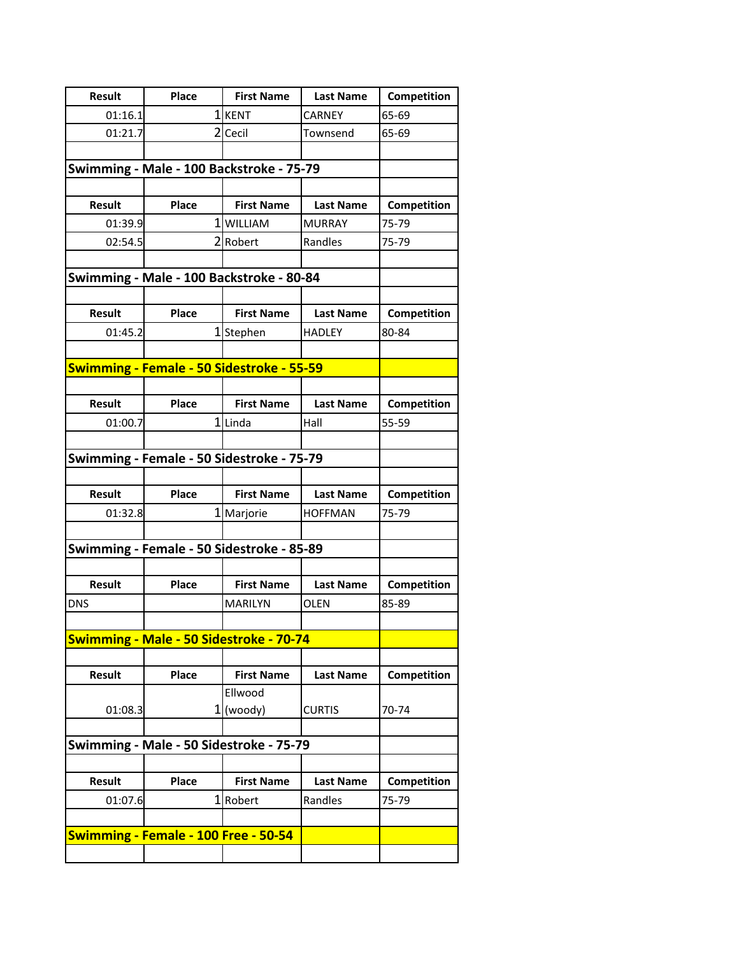| Result        | Place                                     | <b>First Name</b> | <b>Last Name</b> | Competition |
|---------------|-------------------------------------------|-------------------|------------------|-------------|
| 01:16.1       |                                           | 1KENT             | CARNEY           | 65-69       |
| 01:21.7       |                                           | 2 Cecil           | Townsend         | 65-69       |
|               |                                           |                   |                  |             |
|               | Swimming - Male - 100 Backstroke - 75-79  |                   |                  |             |
|               |                                           |                   |                  |             |
| <b>Result</b> | Place                                     | <b>First Name</b> | <b>Last Name</b> | Competition |
| 01:39.9       |                                           | 1WILLIAM          | <b>MURRAY</b>    | 75-79       |
| 02:54.5       |                                           | 2Robert           | Randles          | 75-79       |
|               |                                           |                   |                  |             |
|               | Swimming - Male - 100 Backstroke - 80-84  |                   |                  |             |
|               |                                           |                   |                  |             |
| <b>Result</b> | Place                                     | <b>First Name</b> | <b>Last Name</b> | Competition |
| 01:45.2       |                                           | 1 Stephen         | <b>HADLEY</b>    | 80-84       |
|               |                                           |                   |                  |             |
|               | Swimming - Female - 50 Sidestroke - 55-59 |                   |                  |             |
| <b>Result</b> | Place                                     | <b>First Name</b> | <b>Last Name</b> | Competition |
| 01:00.7       |                                           | 1Linda            | Hall             | 55-59       |
|               |                                           |                   |                  |             |
|               | Swimming - Female - 50 Sidestroke - 75-79 |                   |                  |             |
|               |                                           |                   |                  |             |
| <b>Result</b> | Place                                     | <b>First Name</b> | <b>Last Name</b> | Competition |
| 01:32.8       |                                           | 1 Marjorie        | <b>HOFFMAN</b>   | 75-79       |
|               |                                           |                   |                  |             |
|               | Swimming - Female - 50 Sidestroke - 85-89 |                   |                  |             |
|               |                                           |                   |                  |             |
| <b>Result</b> | Place                                     | <b>First Name</b> | <b>Last Name</b> | Competition |
| <b>DNS</b>    |                                           | <b>MARILYN</b>    | <b>OLEN</b>      | 85-89       |
|               |                                           |                   |                  |             |
|               | Swimming - Male - 50 Sidestroke - 70-74   |                   |                  |             |
|               |                                           |                   |                  |             |
| <b>Result</b> | <b>Place</b>                              | <b>First Name</b> | <b>Last Name</b> | Competition |
|               |                                           | Ellwood           |                  |             |
| 01:08.3       | 1                                         | (woody)           | <b>CURTIS</b>    | 70-74       |
|               |                                           |                   |                  |             |
|               | Swimming - Male - 50 Sidestroke - 75-79   |                   |                  |             |
|               |                                           |                   |                  |             |
| <b>Result</b> | Place                                     | <b>First Name</b> | <b>Last Name</b> | Competition |
| 01:07.6       |                                           | 1 Robert          | Randles          | 75-79       |
|               |                                           |                   |                  |             |
|               | Swimming - Female - 100 Free - 50-54      |                   |                  |             |
|               |                                           |                   |                  |             |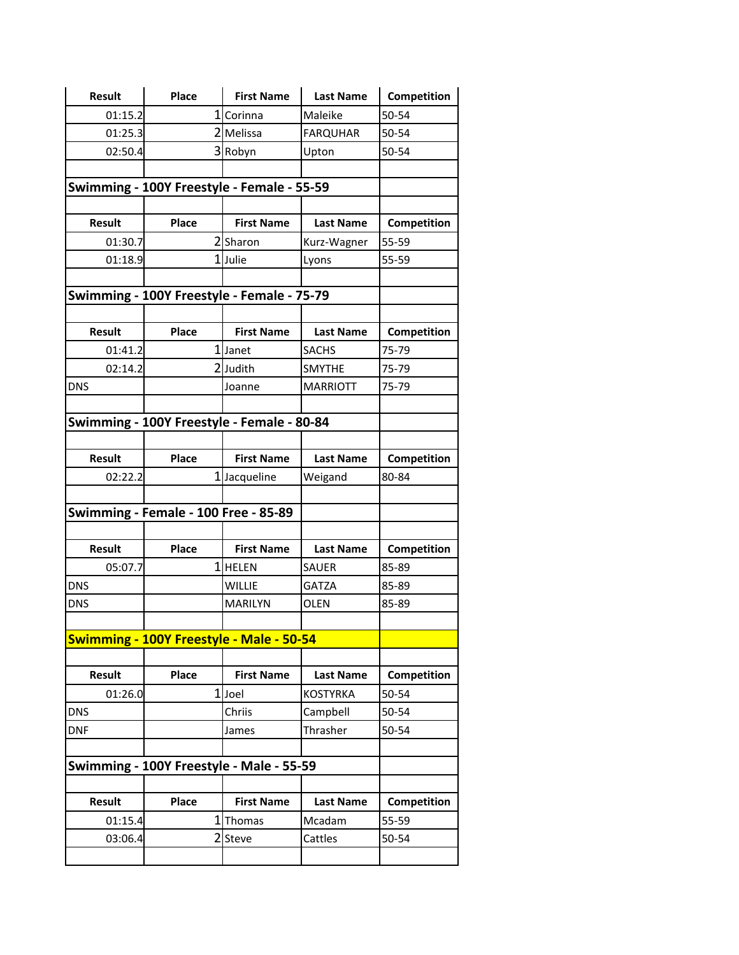| <b>Result</b> | Place                                           | <b>First Name</b> | <b>Last Name</b> | Competition |
|---------------|-------------------------------------------------|-------------------|------------------|-------------|
| 01:15.2       |                                                 | 1 Corinna         | Maleike          | 50-54       |
| 01:25.3       |                                                 | 2 Melissa         | <b>FARQUHAR</b>  | 50-54       |
| 02:50.4       |                                                 | 3Robyn            | Upton            | 50-54       |
|               |                                                 |                   |                  |             |
|               | Swimming - 100Y Freestyle - Female - 55-59      |                   |                  |             |
|               |                                                 |                   |                  |             |
| <b>Result</b> | Place                                           | <b>First Name</b> | <b>Last Name</b> | Competition |
| 01:30.7       |                                                 | 2Sharon           | Kurz-Wagner      | 55-59       |
| 01:18.9       |                                                 | 1Julie            | Lyons            | 55-59       |
|               |                                                 |                   |                  |             |
|               | Swimming - 100Y Freestyle - Female - 75-79      |                   |                  |             |
|               |                                                 |                   |                  |             |
| <b>Result</b> | Place                                           | <b>First Name</b> | <b>Last Name</b> | Competition |
| 01:41.2       |                                                 | 1 Janet           | <b>SACHS</b>     | 75-79       |
| 02:14.2       |                                                 | 2Judith           | <b>SMYTHE</b>    | 75-79       |
| <b>DNS</b>    |                                                 | Joanne            | <b>MARRIOTT</b>  | 75-79       |
|               |                                                 |                   |                  |             |
|               | Swimming - 100Y Freestyle - Female - 80-84      |                   |                  |             |
|               |                                                 |                   |                  |             |
| <b>Result</b> | Place                                           | <b>First Name</b> | <b>Last Name</b> | Competition |
| 02:22.2       | $\mathbf{1}$                                    | Jacqueline        | Weigand          | 80-84       |
|               |                                                 |                   |                  |             |
|               | Swimming - Female - 100 Free - 85-89            |                   |                  |             |
|               |                                                 |                   |                  |             |
| <b>Result</b> | Place                                           | <b>First Name</b> | <b>Last Name</b> | Competition |
| 05:07.7       |                                                 | 1 HELEN           | <b>SAUER</b>     | 85-89       |
| <b>DNS</b>    |                                                 | <b>WILLIE</b>     | <b>GATZA</b>     | 85-89       |
| <b>DNS</b>    |                                                 | <b>MARILYN</b>    | <b>OLEN</b>      | 85-89       |
|               |                                                 |                   |                  |             |
|               | <b>Swimming - 100Y Freestyle - Male - 50-54</b> |                   |                  |             |
|               |                                                 |                   |                  |             |
| Result        | Place                                           | <b>First Name</b> | <b>Last Name</b> | Competition |
| 01:26.0       | $\overline{1}$                                  | Joel              | <b>KOSTYRKA</b>  | 50-54       |
| <b>DNS</b>    |                                                 | Chriis            | Campbell         | 50-54       |
| <b>DNF</b>    |                                                 | James             | Thrasher         | 50-54       |
|               |                                                 |                   |                  |             |
|               | Swimming - 100Y Freestyle - Male - 55-59        |                   |                  |             |
|               |                                                 |                   |                  |             |
| <b>Result</b> | Place                                           | <b>First Name</b> | <b>Last Name</b> | Competition |
| 01:15.4       | 1                                               | Thomas            | Mcadam           | 55-59       |
| 03:06.4       | $\overline{2}$                                  | Steve             | Cattles          | 50-54       |
|               |                                                 |                   |                  |             |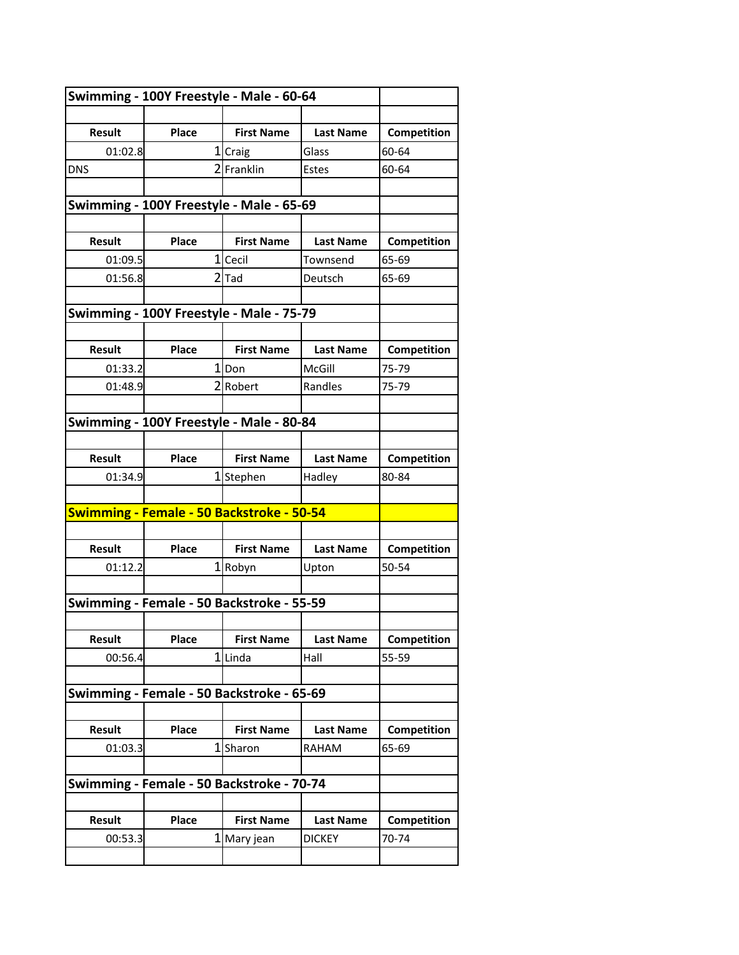| Swimming - 100Y Freestyle - Male - 60-64 |                                           |                   |                  |             |
|------------------------------------------|-------------------------------------------|-------------------|------------------|-------------|
|                                          |                                           |                   |                  |             |
| <b>Result</b>                            | Place                                     | <b>First Name</b> | <b>Last Name</b> | Competition |
| 01:02.8                                  |                                           | 1 Craig           | Glass            | 60-64       |
| <b>DNS</b>                               |                                           | 2Franklin         | Estes            | 60-64       |
|                                          |                                           |                   |                  |             |
|                                          | Swimming - 100Y Freestyle - Male - 65-69  |                   |                  |             |
|                                          |                                           |                   |                  |             |
| <b>Result</b>                            | Place                                     | <b>First Name</b> | <b>Last Name</b> | Competition |
| 01:09.5                                  |                                           | 1 Cecil           | Townsend         | 65-69       |
| 01:56.8                                  |                                           | $2$ $Ta$          | Deutsch          | 65-69       |
|                                          |                                           |                   |                  |             |
|                                          | Swimming - 100Y Freestyle - Male - 75-79  |                   |                  |             |
|                                          |                                           |                   |                  |             |
| <b>Result</b>                            | Place                                     | <b>First Name</b> | <b>Last Name</b> | Competition |
| 01:33.2                                  |                                           | 1lDon             | McGill           | 75-79       |
| 01:48.9                                  |                                           | 2Robert           | Randles          | 75-79       |
|                                          |                                           |                   |                  |             |
|                                          | Swimming - 100Y Freestyle - Male - 80-84  |                   |                  |             |
|                                          |                                           |                   |                  |             |
| <b>Result</b>                            | Place                                     | <b>First Name</b> | <b>Last Name</b> | Competition |
| 01:34.9                                  |                                           | 1Stephen          | Hadley           | 80-84       |
|                                          | Swimming - Female - 50 Backstroke - 50-54 |                   |                  |             |
|                                          |                                           |                   |                  |             |
| <b>Result</b>                            | Place                                     | <b>First Name</b> | <b>Last Name</b> | Competition |
| 01:12.2                                  |                                           | $1$ Robyn         | Upton            | 50-54       |
|                                          |                                           |                   |                  |             |
|                                          | Swimming - Female - 50 Backstroke - 55-59 |                   |                  |             |
|                                          |                                           |                   |                  |             |
| <b>Result</b>                            | Place                                     | <b>First Name</b> | <b>Last Name</b> | Competition |
| 00:56.4                                  | 1                                         | Linda             | Hall             | 55-59       |
|                                          |                                           |                   |                  |             |
|                                          | Swimming - Female - 50 Backstroke - 65-69 |                   |                  |             |
|                                          |                                           |                   |                  |             |
| <b>Result</b>                            | Place                                     | <b>First Name</b> | <b>Last Name</b> | Competition |
| 01:03.3                                  | 1                                         | Sharon            | RAHAM            | 65-69       |
|                                          |                                           |                   |                  |             |
|                                          | Swimming - Female - 50 Backstroke - 70-74 |                   |                  |             |
|                                          |                                           |                   |                  |             |
| Result                                   | Place                                     | <b>First Name</b> | <b>Last Name</b> | Competition |
| 00:53.3                                  | 1                                         | Mary jean         | <b>DICKEY</b>    | 70-74       |
|                                          |                                           |                   |                  |             |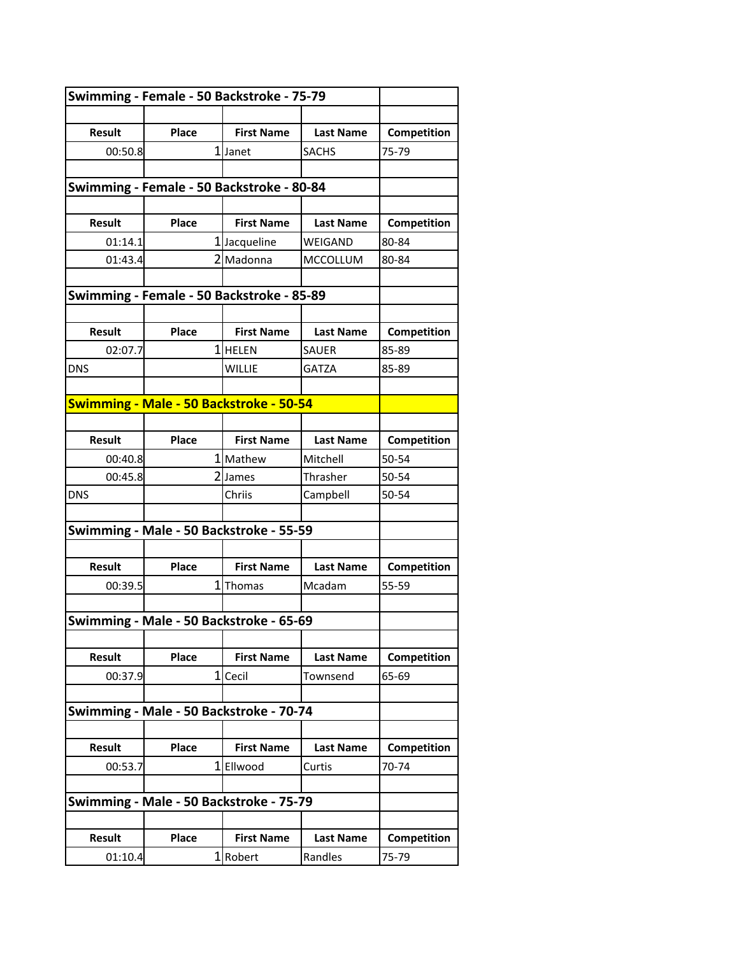| Swimming - Female - 50 Backstroke - 75-79 |                                           |                   |                  |             |
|-------------------------------------------|-------------------------------------------|-------------------|------------------|-------------|
|                                           |                                           |                   |                  |             |
| Result                                    | Place                                     | <b>First Name</b> | <b>Last Name</b> | Competition |
| 00:50.8                                   |                                           | 1 Janet           | SACHS            | 75-79       |
|                                           |                                           |                   |                  |             |
|                                           | Swimming - Female - 50 Backstroke - 80-84 |                   |                  |             |
|                                           |                                           |                   |                  |             |
| <b>Result</b>                             | Place                                     | <b>First Name</b> | <b>Last Name</b> | Competition |
| 01:14.1                                   |                                           | 1Jacqueline       | WEIGAND          | 80-84       |
| 01:43.4                                   |                                           | 2 Madonna         | <b>MCCOLLUM</b>  | 80-84       |
|                                           |                                           |                   |                  |             |
|                                           | Swimming - Female - 50 Backstroke - 85-89 |                   |                  |             |
|                                           |                                           |                   |                  |             |
| <b>Result</b>                             | Place                                     | <b>First Name</b> | <b>Last Name</b> | Competition |
| 02:07.7                                   |                                           | 1 HELEN           | <b>SAUER</b>     | 85-89       |
| <b>DNS</b>                                |                                           | WILLIE            | GATZA            | 85-89       |
|                                           |                                           |                   |                  |             |
|                                           | Swimming - Male - 50 Backstroke - 50-54   |                   |                  |             |
|                                           |                                           |                   |                  |             |
| <b>Result</b>                             | Place                                     | <b>First Name</b> | <b>Last Name</b> | Competition |
| 00:40.8                                   |                                           | 1 Mathew          | Mitchell         | 50-54       |
| 00:45.8                                   |                                           | 2 James           | Thrasher         | 50-54       |
| <b>DNS</b>                                |                                           | Chriis            | Campbell         | 50-54       |
|                                           | Swimming - Male - 50 Backstroke - 55-59   |                   |                  |             |
|                                           |                                           |                   |                  |             |
| Result                                    | Place                                     | <b>First Name</b> | <b>Last Name</b> | Competition |
| 00:39.5                                   | 1                                         | Thomas            | Mcadam           | 55-59       |
|                                           |                                           |                   |                  |             |
| Swimming - Male - 50 Backstroke - 65-69   |                                           |                   |                  |             |
|                                           |                                           |                   |                  |             |
| Result                                    | Place                                     | <b>First Name</b> | <b>Last Name</b> | Competition |
| 00:37.9                                   |                                           | 1 Cecil           | Townsend         | 65-69       |
|                                           |                                           |                   |                  |             |
|                                           | Swimming - Male - 50 Backstroke - 70-74   |                   |                  |             |
|                                           |                                           |                   |                  |             |
| Result                                    | Place                                     | <b>First Name</b> | <b>Last Name</b> | Competition |
| 00:53.7                                   | 1                                         | Ellwood           | Curtis           | 70-74       |
|                                           |                                           |                   |                  |             |
|                                           | Swimming - Male - 50 Backstroke - 75-79   |                   |                  |             |
|                                           |                                           |                   |                  |             |
| Result                                    | Place                                     | <b>First Name</b> | <b>Last Name</b> | Competition |
| 01:10.4                                   |                                           | 1 Robert          | Randles          | 75-79       |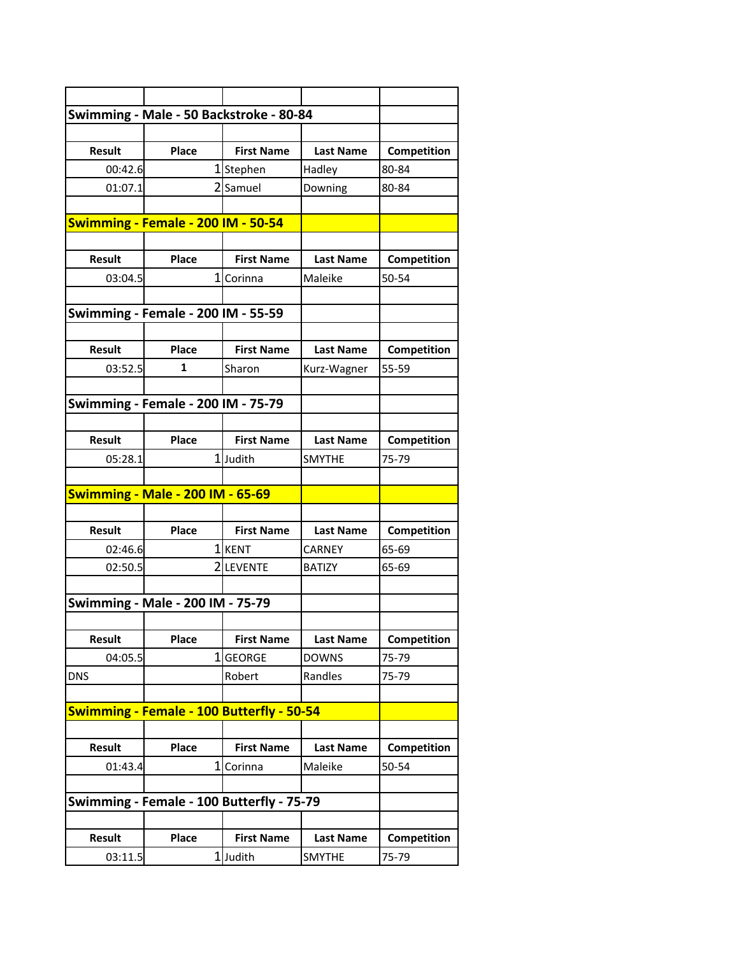| Swimming - Male - 50 Backstroke - 80-84 |                                                  |                   |                  |             |
|-----------------------------------------|--------------------------------------------------|-------------------|------------------|-------------|
|                                         |                                                  |                   |                  |             |
| <b>Result</b>                           | Place                                            | <b>First Name</b> | <b>Last Name</b> | Competition |
| 00:42.6                                 |                                                  | 1Stephen          | Hadley           | 80-84       |
| 01:07.1                                 |                                                  | 2 Samuel          | Downing          | 80-84       |
|                                         |                                                  |                   |                  |             |
|                                         | Swimming - Female - 200 IM - 50-54               |                   |                  |             |
|                                         |                                                  |                   |                  |             |
| <b>Result</b>                           | Place                                            | <b>First Name</b> | <b>Last Name</b> | Competition |
| 03:04.5                                 |                                                  | 1 Corinna         | Maleike          | 50-54       |
|                                         |                                                  |                   |                  |             |
|                                         | Swimming - Female - 200 IM - 55-59               |                   |                  |             |
|                                         |                                                  |                   |                  |             |
| <b>Result</b>                           | Place                                            | <b>First Name</b> | <b>Last Name</b> | Competition |
| 03:52.5                                 | 1                                                | Sharon            | Kurz-Wagner      | 55-59       |
|                                         |                                                  |                   |                  |             |
|                                         | Swimming - Female - 200 IM - 75-79               |                   |                  |             |
|                                         |                                                  |                   |                  |             |
| <b>Result</b>                           | Place                                            | <b>First Name</b> | <b>Last Name</b> | Competition |
| 05:28.1                                 |                                                  | 1Judith           | <b>SMYTHE</b>    | 75-79       |
|                                         |                                                  |                   |                  |             |
| <b>Swimming - Male - 200 IM - 65-69</b> |                                                  |                   |                  |             |
|                                         |                                                  |                   |                  |             |
| <b>Result</b>                           | Place                                            | <b>First Name</b> | <b>Last Name</b> | Competition |
| 02:46.6                                 |                                                  | 1 KENT            | <b>CARNEY</b>    | 65-69       |
| 02:50.5                                 |                                                  | 2LEVENTE          | <b>BATIZY</b>    | 65-69       |
|                                         |                                                  |                   |                  |             |
|                                         | <b>Swimming - Male - 200 IM - 75-79</b>          |                   |                  |             |
|                                         |                                                  |                   |                  |             |
| <b>Result</b>                           | Place                                            | <b>First Name</b> | <b>Last Name</b> | Competition |
| 04:05.5                                 | 1                                                | <b>GEORGE</b>     | <b>DOWNS</b>     | 75-79       |
| <b>DNS</b>                              |                                                  | Robert            | Randles          | 75-79       |
|                                         |                                                  |                   |                  |             |
|                                         | <b>Swimming - Female - 100 Butterfly - 50-54</b> |                   |                  |             |
|                                         |                                                  |                   |                  |             |
| <b>Result</b>                           | Place                                            | <b>First Name</b> | <b>Last Name</b> | Competition |
| 01:43.4                                 | 1                                                | Corinna           | Maleike          | 50-54       |
|                                         |                                                  |                   |                  |             |
|                                         | Swimming - Female - 100 Butterfly - 75-79        |                   |                  |             |
|                                         |                                                  |                   |                  |             |
| <b>Result</b>                           | Place                                            | <b>First Name</b> | <b>Last Name</b> | Competition |
| 03:11.5                                 |                                                  | 1Judith           | <b>SMYTHE</b>    | 75-79       |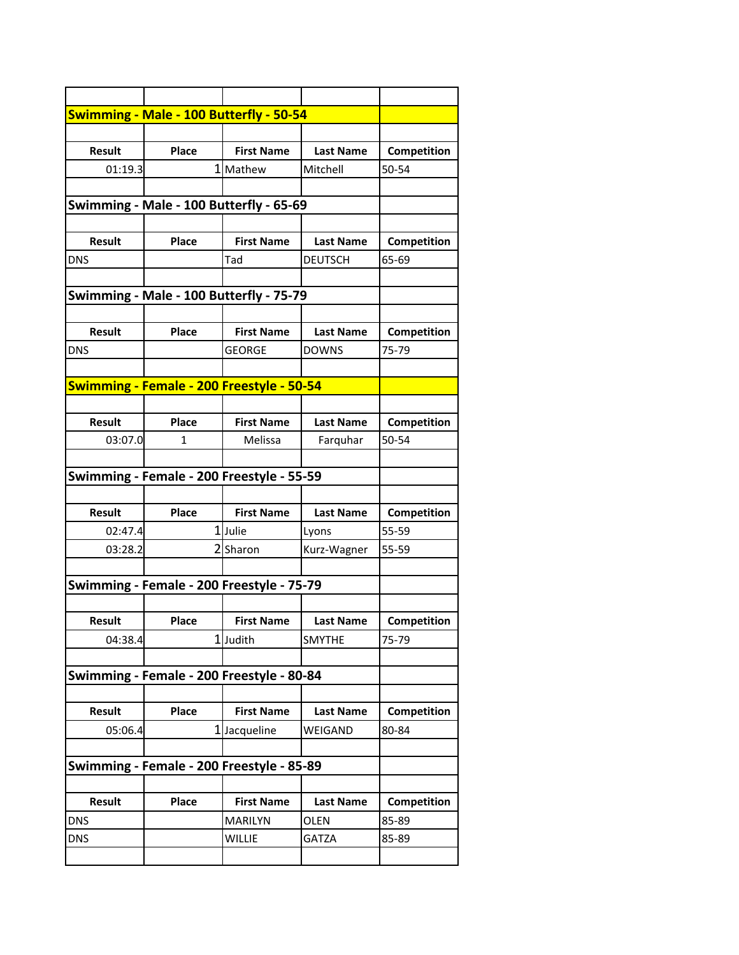|                   | <b>Swimming - Male - 100 Butterfly - 50-54</b>   |                   |                  |                |
|-------------------|--------------------------------------------------|-------------------|------------------|----------------|
|                   |                                                  |                   |                  |                |
| <b>Result</b>     | Place                                            | <b>First Name</b> | <b>Last Name</b> | Competition    |
| 01:19.3           |                                                  | 1 Mathew          | Mitchell         | 50-54          |
|                   |                                                  |                   |                  |                |
|                   | Swimming - Male - 100 Butterfly - 65-69          |                   |                  |                |
|                   |                                                  |                   |                  |                |
| <b>Result</b>     | Place                                            | <b>First Name</b> | <b>Last Name</b> | Competition    |
| DNS               |                                                  | Tad               | <b>DEUTSCH</b>   | 65-69          |
|                   |                                                  |                   |                  |                |
|                   | Swimming - Male - 100 Butterfly - 75-79          |                   |                  |                |
|                   |                                                  |                   |                  |                |
| <b>Result</b>     | Place                                            | <b>First Name</b> | <b>Last Name</b> | Competition    |
| <b>DNS</b>        |                                                  | <b>GEORGE</b>     | <b>DOWNS</b>     | 75-79          |
|                   |                                                  |                   |                  |                |
|                   | <b>Swimming - Female - 200 Freestyle - 50-54</b> |                   |                  |                |
|                   |                                                  |                   |                  |                |
| <b>Result</b>     | Place                                            | <b>First Name</b> | <b>Last Name</b> | Competition    |
| 03:07.0           | 1                                                | Melissa           | Farquhar         | 50-54          |
|                   |                                                  |                   |                  |                |
|                   | Swimming - Female - 200 Freestyle - 55-59        |                   |                  |                |
|                   |                                                  |                   |                  |                |
| <b>Result</b>     | Place                                            | <b>First Name</b> | <b>Last Name</b> | Competition    |
| 02:47.4           |                                                  | 1Julie            | Lyons            | 55-59          |
| 03:28.2           |                                                  | 2Sharon           | Kurz-Wagner      | 55-59          |
|                   |                                                  |                   |                  |                |
|                   | Swimming - Female - 200 Freestyle - 75-79        |                   |                  |                |
|                   |                                                  |                   |                  |                |
| <b>Result</b>     | Place                                            | <b>First Name</b> | <b>Last Name</b> | Competition    |
| 04:38.4           |                                                  | 1Judith           | <b>SMYTHE</b>    | 75-79          |
|                   |                                                  |                   |                  |                |
|                   | Swimming - Female - 200 Freestyle - 80-84        |                   |                  |                |
|                   |                                                  |                   |                  |                |
| <b>Result</b>     | Place                                            | <b>First Name</b> | <b>Last Name</b> | Competition    |
| 05:06.4           |                                                  | 1Jacqueline       | WEIGAND          | 80-84          |
|                   |                                                  |                   |                  |                |
|                   | Swimming - Female - 200 Freestyle - 85-89        |                   |                  |                |
|                   |                                                  |                   |                  |                |
|                   | Place                                            | <b>First Name</b> | <b>Last Name</b> | Competition    |
| Result            |                                                  |                   |                  |                |
|                   |                                                  | <b>MARILYN</b>    | OLEN             |                |
| <b>DNS</b><br>DNS |                                                  | WILLIE            | <b>GATZA</b>     | 85-89<br>85-89 |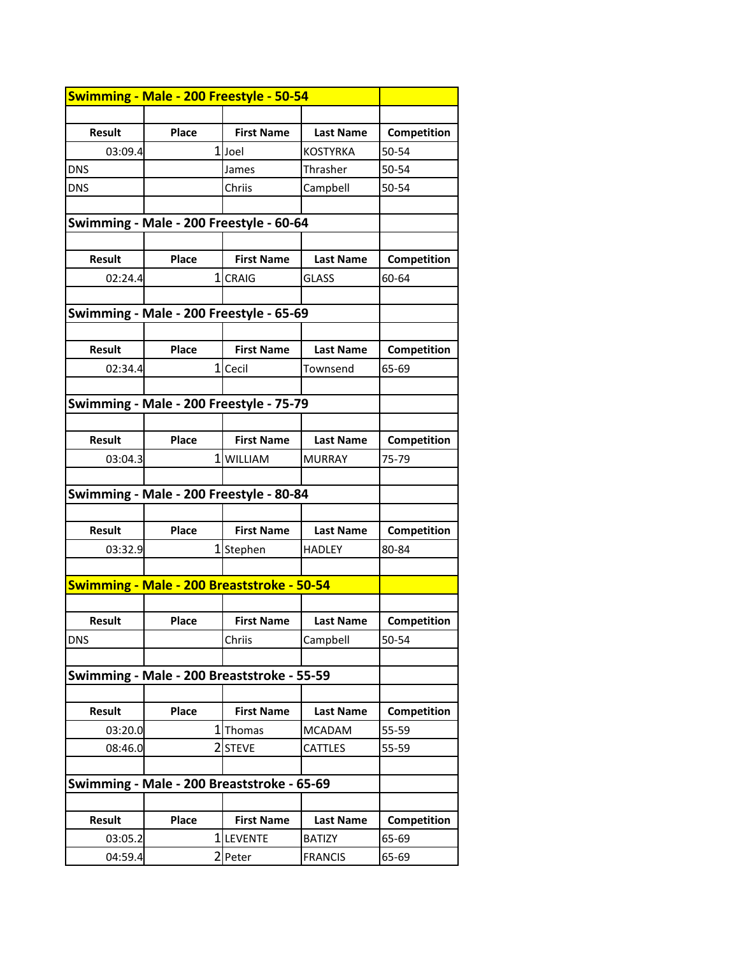| Place<br><b>Result</b><br><b>First Name</b><br>Competition<br><b>Last Name</b> |  |
|--------------------------------------------------------------------------------|--|
| 1Joel<br>03:09.4<br>KOSTYRKA<br>50-54                                          |  |
| <b>DNS</b><br>Thrasher<br>50-54<br>James                                       |  |
| <b>DNS</b><br>Chriis<br>Campbell<br>50-54                                      |  |
|                                                                                |  |
| Swimming - Male - 200 Freestyle - 60-64                                        |  |
|                                                                                |  |
| <b>Result</b><br>Place<br><b>First Name</b><br><b>Last Name</b><br>Competition |  |
| 1CRAIG<br><b>GLASS</b><br>60-64<br>02:24.4                                     |  |
|                                                                                |  |
| Swimming - Male - 200 Freestyle - 65-69                                        |  |
|                                                                                |  |
| Place<br><b>First Name</b><br><b>Result</b><br><b>Last Name</b><br>Competition |  |
| 1 Cecil<br>02:34.4<br>Townsend<br>65-69                                        |  |
|                                                                                |  |
| Swimming - Male - 200 Freestyle - 75-79                                        |  |
|                                                                                |  |
| <b>Result</b><br>Place<br>Competition<br><b>First Name</b><br><b>Last Name</b> |  |
| 1 WILLIAM<br>03:04.3<br><b>MURRAY</b><br>75-79                                 |  |
|                                                                                |  |
| Swimming - Male - 200 Freestyle - 80-84                                        |  |
|                                                                                |  |
| Place<br><b>Result</b><br><b>First Name</b><br>Competition<br><b>Last Name</b> |  |
| 1Stephen<br>03:32.9<br><b>HADLEY</b><br>80-84                                  |  |
|                                                                                |  |
| Swimming - Male - 200 Breaststroke - 50-54                                     |  |
|                                                                                |  |
| <b>Result</b><br>Place<br><b>First Name</b><br><b>Last Name</b><br>Competition |  |
| Chriis<br><b>DNS</b><br>Campbell<br>50-54                                      |  |
|                                                                                |  |
| Swimming - Male - 200 Breaststroke - 55-59                                     |  |
|                                                                                |  |
| <b>Result</b><br>Place<br><b>First Name</b><br><b>Last Name</b><br>Competition |  |
| 1<br>03:20.0<br>Thomas<br><b>MCADAM</b><br>55-59                               |  |
| 2 STEVE<br>08:46.0<br><b>CATTLES</b><br>55-59                                  |  |
|                                                                                |  |
| Swimming - Male - 200 Breaststroke - 65-69                                     |  |
|                                                                                |  |
| Place<br><b>Result</b><br><b>First Name</b><br><b>Last Name</b><br>Competition |  |
| 1<br><b>LEVENTE</b><br>03:05.2<br><b>BATIZY</b><br>65-69                       |  |
| 2 Peter<br>04:59.4<br><b>FRANCIS</b><br>65-69                                  |  |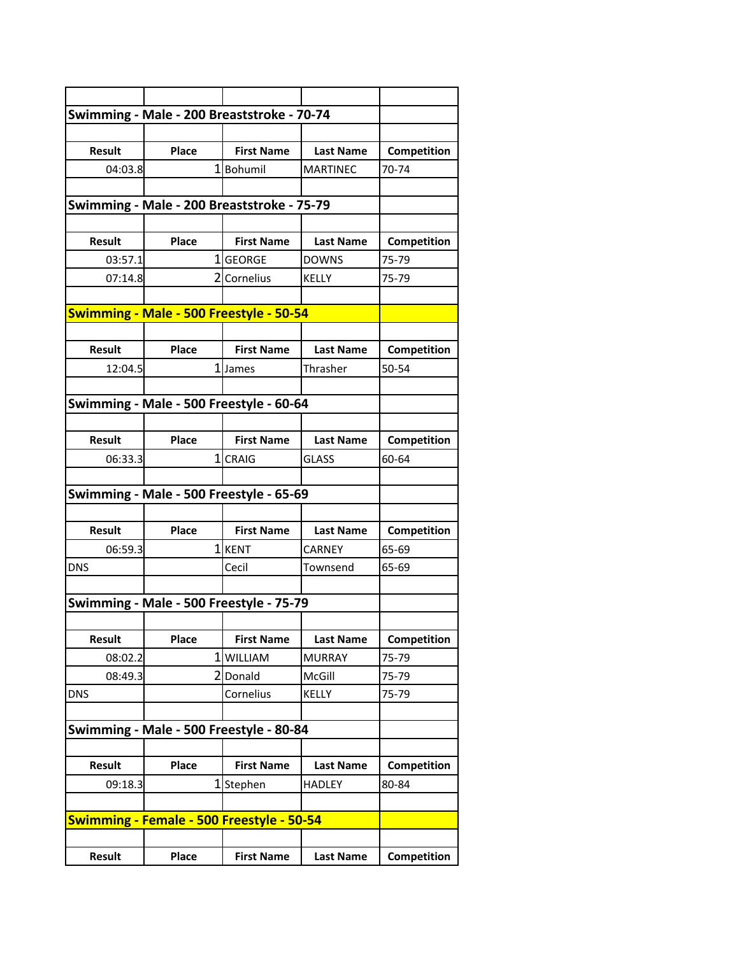|               |              | Swimming - Male - 200 Breaststroke - 70-74       |                  |             |
|---------------|--------------|--------------------------------------------------|------------------|-------------|
|               |              |                                                  |                  |             |
| <b>Result</b> | Place        | <b>First Name</b>                                | <b>Last Name</b> | Competition |
| 04:03.8       |              | 1Bohumil                                         | <b>MARTINEC</b>  | 70-74       |
|               |              |                                                  |                  |             |
|               |              | Swimming - Male - 200 Breaststroke - 75-79       |                  |             |
|               |              |                                                  |                  |             |
| <b>Result</b> | Place        | <b>First Name</b>                                | <b>Last Name</b> | Competition |
| 03:57.1       |              | 1 GEORGE                                         | <b>DOWNS</b>     | 75-79       |
| 07:14.8       |              | 2 Cornelius                                      | KELLY            | 75-79       |
|               |              |                                                  |                  |             |
|               |              | Swimming - Male - 500 Freestyle - 50-54          |                  |             |
|               |              |                                                  |                  |             |
| <b>Result</b> | Place        | <b>First Name</b>                                | <b>Last Name</b> | Competition |
| 12:04.5       |              | 1 James                                          | Thrasher         | 50-54       |
|               |              |                                                  |                  |             |
|               |              | Swimming - Male - 500 Freestyle - 60-64          |                  |             |
|               |              |                                                  |                  |             |
| <b>Result</b> | Place        | <b>First Name</b>                                | <b>Last Name</b> | Competition |
| 06:33.3       |              | 1 CRAIG                                          | <b>GLASS</b>     | 60-64       |
|               |              |                                                  |                  |             |
|               |              | Swimming - Male - 500 Freestyle - 65-69          |                  |             |
|               |              |                                                  |                  |             |
| <b>Result</b> | Place        | <b>First Name</b>                                | <b>Last Name</b> | Competition |
| 06:59.3       |              | 1 KENT                                           | CARNEY           | 65-69       |
| <b>DNS</b>    |              | Cecil                                            | Townsend         | 65-69       |
|               |              |                                                  |                  |             |
|               |              | Swimming - Male - 500 Freestyle - 75-79          |                  |             |
|               |              |                                                  |                  |             |
| <b>Result</b> | <b>Place</b> | <b>First Name</b>                                | <b>Last Name</b> | Competition |
| 08:02.2       |              | 1 WILLIAM                                        | MURRAY           | 75-79       |
| 08:49.3       |              | 2Donald                                          | McGill           | 75-79       |
| <b>DNS</b>    |              | Cornelius                                        | <b>KELLY</b>     | 75-79       |
|               |              |                                                  |                  |             |
|               |              | Swimming - Male - 500 Freestyle - 80-84          |                  |             |
|               |              |                                                  |                  |             |
| Result        | Place        | <b>First Name</b>                                | <b>Last Name</b> | Competition |
| 09:18.3       |              | 1Stephen                                         | <b>HADLEY</b>    | 80-84       |
|               |              |                                                  |                  |             |
|               |              | <b>Swimming - Female - 500 Freestyle - 50-54</b> |                  |             |
|               |              |                                                  |                  |             |
| <b>Result</b> | Place        | <b>First Name</b>                                | <b>Last Name</b> | Competition |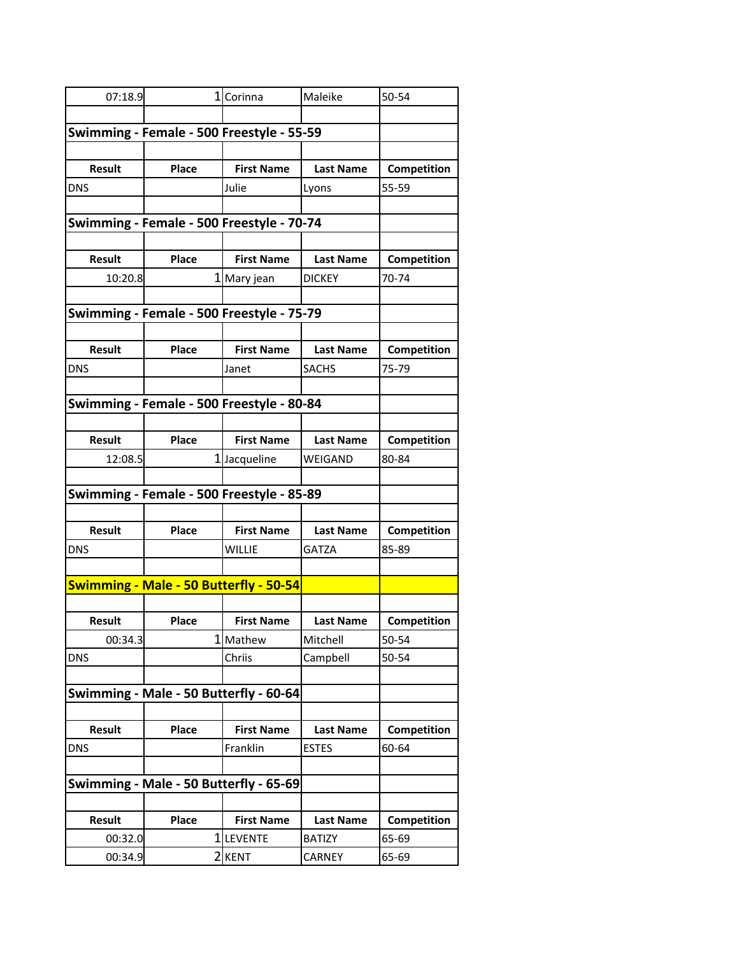| 07:18.9       |                | 1 Corinna                                 | Maleike          | 50-54       |
|---------------|----------------|-------------------------------------------|------------------|-------------|
|               |                |                                           |                  |             |
|               |                | Swimming - Female - 500 Freestyle - 55-59 |                  |             |
|               |                |                                           |                  |             |
| <b>Result</b> | Place          | <b>First Name</b>                         | <b>Last Name</b> | Competition |
| <b>DNS</b>    |                | Julie                                     | Lyons            | 55-59       |
|               |                |                                           |                  |             |
|               |                | Swimming - Female - 500 Freestyle - 70-74 |                  |             |
|               |                |                                           |                  |             |
| <b>Result</b> | Place          | <b>First Name</b>                         | <b>Last Name</b> | Competition |
| 10:20.8       |                | 1 Mary jean                               | <b>DICKEY</b>    | 70-74       |
|               |                | Swimming - Female - 500 Freestyle - 75-79 |                  |             |
|               |                |                                           |                  |             |
| <b>Result</b> | Place          | <b>First Name</b>                         | <b>Last Name</b> | Competition |
| <b>DNS</b>    |                | Janet                                     | <b>SACHS</b>     | 75-79       |
|               |                |                                           |                  |             |
|               |                | Swimming - Female - 500 Freestyle - 80-84 |                  |             |
|               |                |                                           |                  |             |
| <b>Result</b> | Place          | <b>First Name</b>                         | <b>Last Name</b> | Competition |
| 12:08.5       |                | 1Jacqueline                               | <b>WEIGAND</b>   | 80-84       |
|               |                |                                           |                  |             |
|               |                | Swimming - Female - 500 Freestyle - 85-89 |                  |             |
|               |                |                                           |                  |             |
| <b>Result</b> | Place          | <b>First Name</b>                         | <b>Last Name</b> | Competition |
| <b>DNS</b>    |                | <b>WILLIE</b>                             | <b>GATZA</b>     | 85-89       |
|               |                |                                           |                  |             |
|               |                | Swimming - Male - 50 Butterfly - 50-54    |                  |             |
| <b>Result</b> | Place          | <b>First Name</b>                         | <b>Last Name</b> | Competition |
| 00:34.3       |                | 1 Mathew                                  | Mitchell         | 50-54       |
| <b>DNS</b>    |                | Chriis                                    | Campbell         | 50-54       |
|               |                |                                           |                  |             |
|               |                | Swimming - Male - 50 Butterfly - 60-64    |                  |             |
|               |                |                                           |                  |             |
| <b>Result</b> | Place          | <b>First Name</b>                         | <b>Last Name</b> | Competition |
| <b>DNS</b>    |                | Franklin                                  | <b>ESTES</b>     | 60-64       |
|               |                |                                           |                  |             |
|               |                | Swimming - Male - 50 Butterfly - 65-69    |                  |             |
|               |                |                                           |                  |             |
| Result        | Place          | <b>First Name</b>                         | <b>Last Name</b> | Competition |
| 00:32.0       | 1              | <b>LEVENTE</b>                            | <b>BATIZY</b>    | 65-69       |
| 00:34.9       | $\overline{2}$ | KENT                                      | <b>CARNEY</b>    | 65-69       |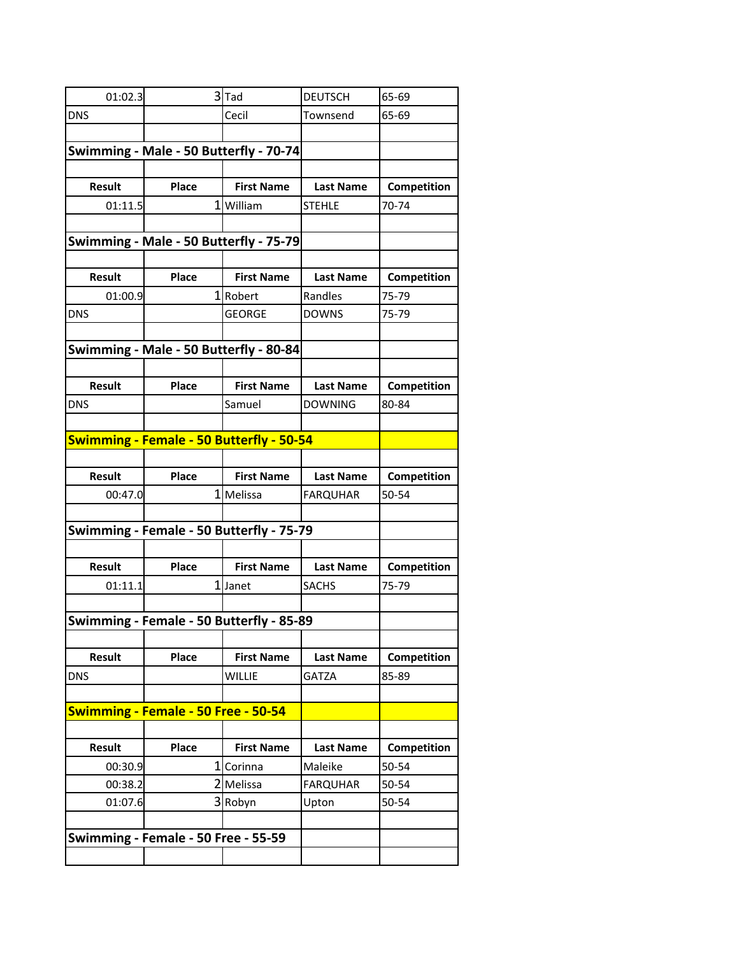| 01:02.3                                |                                          | $3$ $Ta$          | <b>DEUTSCH</b>   | 65-69                |
|----------------------------------------|------------------------------------------|-------------------|------------------|----------------------|
| <b>DNS</b>                             |                                          | Cecil             | Townsend         | 65-69                |
|                                        |                                          |                   |                  |                      |
|                                        | Swimming - Male - 50 Butterfly - 70-74   |                   |                  |                      |
|                                        |                                          |                   |                  |                      |
| Result                                 | Place                                    | <b>First Name</b> | <b>Last Name</b> | Competition          |
| 01:11.5                                |                                          | 1 William         | <b>STEHLE</b>    | 70-74                |
|                                        |                                          |                   |                  |                      |
| Swimming - Male - 50 Butterfly - 75-79 |                                          |                   |                  |                      |
| <b>Result</b>                          | Place                                    | <b>First Name</b> | <b>Last Name</b> |                      |
|                                        |                                          | 1 Robert          | Randles          | Competition<br>75-79 |
| 01:00.9<br><b>DNS</b>                  |                                          | <b>GEORGE</b>     | <b>DOWNS</b>     | 75-79                |
|                                        |                                          |                   |                  |                      |
|                                        | Swimming - Male - 50 Butterfly - 80-84   |                   |                  |                      |
|                                        |                                          |                   |                  |                      |
| Result                                 | Place                                    | <b>First Name</b> | <b>Last Name</b> | Competition          |
| <b>DNS</b>                             |                                          | Samuel            | <b>DOWNING</b>   | 80-84                |
|                                        |                                          |                   |                  |                      |
|                                        | Swimming - Female - 50 Butterfly - 50-54 |                   |                  |                      |
|                                        |                                          |                   |                  |                      |
| Result                                 | Place                                    | <b>First Name</b> | <b>Last Name</b> | Competition          |
| 00:47.0                                |                                          | 1 Melissa         | <b>FARQUHAR</b>  | 50-54                |
|                                        |                                          |                   |                  |                      |
|                                        | Swimming - Female - 50 Butterfly - 75-79 |                   |                  |                      |
|                                        |                                          |                   |                  |                      |
| <b>Result</b>                          | Place                                    | <b>First Name</b> | <b>Last Name</b> | Competition          |
| 01:11.1                                |                                          | 1 Janet           | <b>SACHS</b>     | 75-79                |
|                                        |                                          |                   |                  |                      |
|                                        | Swimming - Female - 50 Butterfly - 85-89 |                   |                  |                      |
| <b>Result</b>                          | Place                                    | <b>First Name</b> | <b>Last Name</b> | Competition          |
| <b>DNS</b>                             |                                          | <b>WILLIE</b>     | <b>GATZA</b>     | 85-89                |
|                                        |                                          |                   |                  |                      |
|                                        | Swimming - Female - 50 Free - 50-54      |                   |                  |                      |
|                                        |                                          |                   |                  |                      |
| Result                                 | Place                                    | <b>First Name</b> | <b>Last Name</b> | Competition          |
| 00:30.9                                |                                          | 1 Corinna         | Maleike          | 50-54                |
| 00:38.2                                |                                          | 2 Melissa         | <b>FARQUHAR</b>  | 50-54                |
| 01:07.6                                |                                          | 3 Robyn           | Upton            | 50-54                |
|                                        |                                          |                   |                  |                      |
|                                        | Swimming - Female - 50 Free - 55-59      |                   |                  |                      |
|                                        |                                          |                   |                  |                      |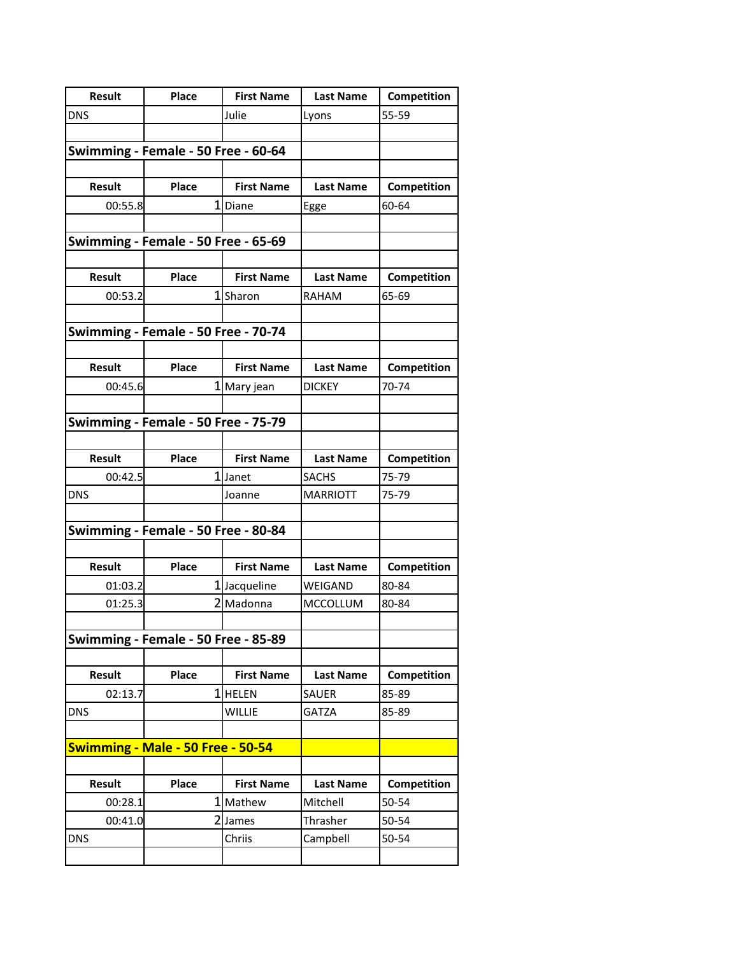| <b>Result</b> | Place                               | <b>First Name</b> | <b>Last Name</b> | Competition |
|---------------|-------------------------------------|-------------------|------------------|-------------|
| <b>DNS</b>    |                                     | Julie             | Lyons            | 55-59       |
|               |                                     |                   |                  |             |
|               | Swimming - Female - 50 Free - 60-64 |                   |                  |             |
|               |                                     |                   |                  |             |
| <b>Result</b> | Place                               | <b>First Name</b> | <b>Last Name</b> | Competition |
| 00:55.8       |                                     | 1Diane            | Egge             | 60-64       |
|               |                                     |                   |                  |             |
|               | Swimming - Female - 50 Free - 65-69 |                   |                  |             |
|               |                                     |                   |                  |             |
| <b>Result</b> | Place                               | <b>First Name</b> | <b>Last Name</b> | Competition |
| 00:53.2       |                                     | 1Sharon           | <b>RAHAM</b>     | 65-69       |
|               | Swimming - Female - 50 Free - 70-74 |                   |                  |             |
|               |                                     |                   |                  |             |
| <b>Result</b> | Place                               | <b>First Name</b> | <b>Last Name</b> | Competition |
| 00:45.6       |                                     | 1 Mary jean       | <b>DICKEY</b>    | 70-74       |
|               |                                     |                   |                  |             |
|               | Swimming - Female - 50 Free - 75-79 |                   |                  |             |
|               |                                     |                   |                  |             |
| <b>Result</b> | Place                               | <b>First Name</b> | <b>Last Name</b> | Competition |
| 00:42.5       |                                     | 1 Janet           | <b>SACHS</b>     | 75-79       |
| <b>DNS</b>    |                                     | Joanne            | <b>MARRIOTT</b>  | 75-79       |
|               |                                     |                   |                  |             |
|               | Swimming - Female - 50 Free - 80-84 |                   |                  |             |
|               |                                     |                   |                  |             |
| <b>Result</b> | Place                               | <b>First Name</b> | <b>Last Name</b> | Competition |
| 01:03.2       |                                     | 1 Jacqueline      | WEIGAND          | 80-84       |
| 01:25.3       |                                     | 2 Madonna         | MCCOLLUM         | 80-84       |
|               |                                     |                   |                  |             |
|               | Swimming - Female - 50 Free - 85-89 |                   |                  |             |
| <b>Result</b> | Place                               | <b>First Name</b> | <b>Last Name</b> | Competition |
| 02:13.7       |                                     | $1$ HELEN         | <b>SAUER</b>     | 85-89       |
| <b>DNS</b>    |                                     | <b>WILLIE</b>     | <b>GATZA</b>     | 85-89       |
|               |                                     |                   |                  |             |
|               | Swimming - Male - 50 Free - 50-54   |                   |                  |             |
|               |                                     |                   |                  |             |
| Result        | Place                               | <b>First Name</b> | <b>Last Name</b> | Competition |
| 00:28.1       |                                     | 1 Mathew          | Mitchell         | 50-54       |
| 00:41.0       |                                     | 2James            | Thrasher         | 50-54       |
| <b>DNS</b>    |                                     | Chriis            | Campbell         | 50-54       |
|               |                                     |                   |                  |             |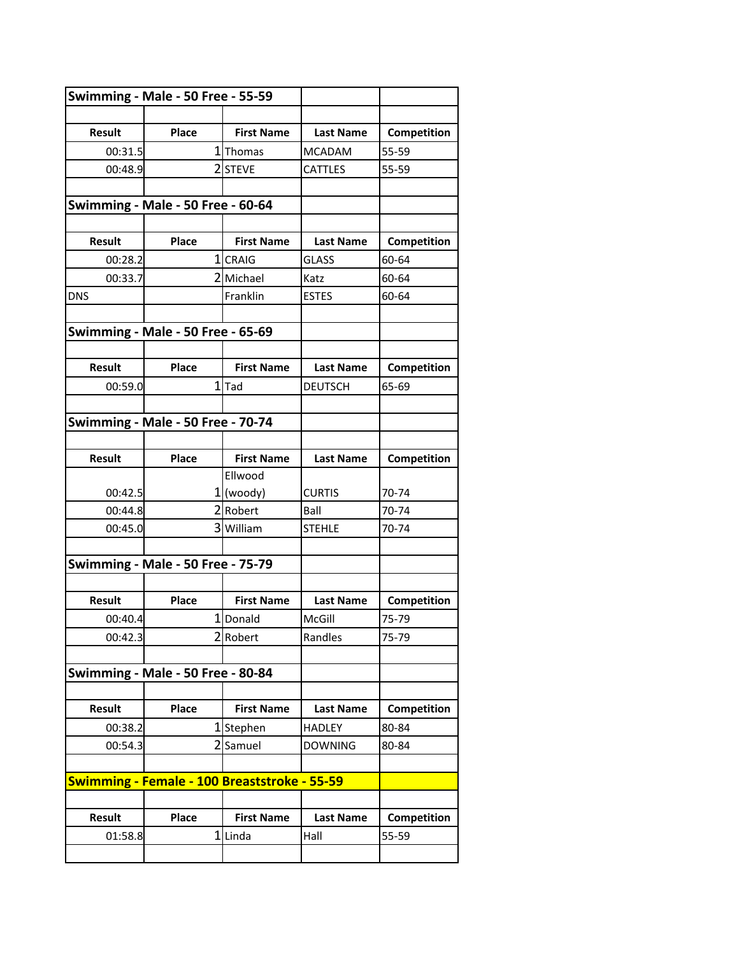| Swimming - Male - 50 Free - 55-59 |                                              |                   |                  |             |
|-----------------------------------|----------------------------------------------|-------------------|------------------|-------------|
|                                   |                                              |                   |                  |             |
| <b>Result</b>                     | Place                                        | <b>First Name</b> | <b>Last Name</b> | Competition |
| 00:31.5                           |                                              | 1 Thomas          | <b>MCADAM</b>    | 55-59       |
| 00:48.9                           |                                              | 2 STEVE           | CATTLES          | 55-59       |
|                                   |                                              |                   |                  |             |
|                                   | Swimming - Male - 50 Free - 60-64            |                   |                  |             |
|                                   |                                              |                   |                  |             |
| <b>Result</b>                     | Place                                        | <b>First Name</b> | <b>Last Name</b> | Competition |
| 00:28.2                           |                                              | 1 CRAIG           | <b>GLASS</b>     | 60-64       |
| 00:33.7                           |                                              | 2 Michael         | Katz             | 60-64       |
| <b>DNS</b>                        |                                              | Franklin          | <b>ESTES</b>     | 60-64       |
|                                   |                                              |                   |                  |             |
|                                   | Swimming - Male - 50 Free - 65-69            |                   |                  |             |
|                                   |                                              |                   |                  |             |
| <b>Result</b>                     | Place                                        | <b>First Name</b> | <b>Last Name</b> | Competition |
| 00:59.0                           |                                              | $1$ Tad           | <b>DEUTSCH</b>   | 65-69       |
|                                   |                                              |                   |                  |             |
|                                   | Swimming - Male - 50 Free - 70-74            |                   |                  |             |
|                                   |                                              |                   |                  |             |
| Result                            | Place                                        | <b>First Name</b> | <b>Last Name</b> | Competition |
|                                   |                                              | Ellwood           |                  |             |
| 00:42.5                           |                                              | $1$ (woody)       | <b>CURTIS</b>    | 70-74       |
| 00:44.8                           |                                              | 2 Robert          | Ball             | 70-74       |
| 00:45.0                           |                                              | 3 William         | <b>STEHLE</b>    | 70-74       |
|                                   |                                              |                   |                  |             |
|                                   | Swimming - Male - 50 Free - 75-79            |                   |                  |             |
|                                   |                                              |                   |                  |             |
| <b>Result</b>                     | Place                                        | <b>First Name</b> | <b>Last Name</b> | Competition |
| 00:40.4                           |                                              | 1 Donald          | McGill           | 75-79       |
| 00:42.3                           |                                              | 2Robert           | Randles          | 75-79       |
|                                   |                                              |                   |                  |             |
|                                   | Swimming - Male - 50 Free - 80-84            |                   |                  |             |
|                                   |                                              |                   |                  |             |
| Result                            | Place                                        | <b>First Name</b> | <b>Last Name</b> | Competition |
| 00:38.2                           |                                              | 1Stephen          | <b>HADLEY</b>    | 80-84       |
| 00:54.3                           |                                              | 2 Samuel          | <b>DOWNING</b>   | 80-84       |
|                                   |                                              |                   |                  |             |
|                                   | Swimming - Female - 100 Breaststroke - 55-59 |                   |                  |             |
|                                   |                                              |                   |                  |             |
| Result                            | Place                                        | <b>First Name</b> | <b>Last Name</b> | Competition |
| 01:58.8                           |                                              | 1 Linda           | Hall             | 55-59       |
|                                   |                                              |                   |                  |             |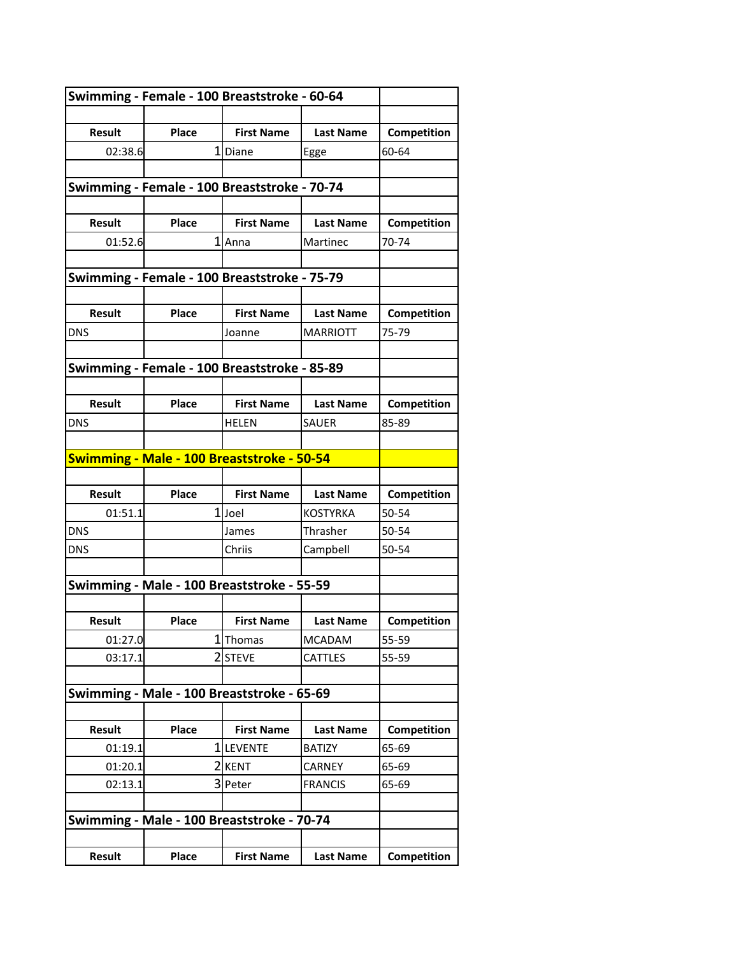| Swimming - Female - 100 Breaststroke - 60-64 |                                              |                   |                  |             |
|----------------------------------------------|----------------------------------------------|-------------------|------------------|-------------|
|                                              |                                              |                   |                  |             |
| <b>Result</b>                                | Place                                        | <b>First Name</b> | <b>Last Name</b> | Competition |
| 02:38.6                                      |                                              | 1Diane            | Egge             | 60-64       |
|                                              |                                              |                   |                  |             |
|                                              | Swimming - Female - 100 Breaststroke - 70-74 |                   |                  |             |
|                                              |                                              |                   |                  |             |
| <b>Result</b>                                | Place                                        | <b>First Name</b> | <b>Last Name</b> | Competition |
| 01:52.6                                      |                                              | 1 Anna            | Martinec         | 70-74       |
|                                              |                                              |                   |                  |             |
|                                              | Swimming - Female - 100 Breaststroke - 75-79 |                   |                  |             |
|                                              |                                              |                   |                  |             |
| <b>Result</b>                                | Place                                        | <b>First Name</b> | <b>Last Name</b> | Competition |
| <b>DNS</b>                                   |                                              | Joanne            | <b>MARRIOTT</b>  | 75-79       |
|                                              |                                              |                   |                  |             |
|                                              | Swimming - Female - 100 Breaststroke - 85-89 |                   |                  |             |
|                                              |                                              |                   |                  |             |
| <b>Result</b>                                | Place                                        | <b>First Name</b> | <b>Last Name</b> | Competition |
| <b>DNS</b>                                   |                                              | HELEN             | <b>SAUER</b>     | 85-89       |
|                                              |                                              |                   |                  |             |
|                                              | Swimming - Male - 100 Breaststroke - 50-54   |                   |                  |             |
|                                              |                                              |                   |                  |             |
| <b>Result</b>                                | Place                                        | <b>First Name</b> | <b>Last Name</b> | Competition |
| 01:51.1                                      |                                              | 1Joel             | <b>KOSTYRKA</b>  | 50-54       |
| <b>DNS</b>                                   |                                              | James             | Thrasher         | 50-54       |
| <b>DNS</b>                                   |                                              | Chriis            | Campbell         | 50-54       |
|                                              |                                              |                   |                  |             |
|                                              | Swimming - Male - 100 Breaststroke - 55-59   |                   |                  |             |
|                                              |                                              |                   |                  |             |
| <b>Result</b>                                | Place                                        | <b>First Name</b> | <b>Last Name</b> | Competition |
| 01:27.0                                      |                                              | 1 Thomas          | <b>MCADAM</b>    | 55-59       |
| 03:17.1                                      |                                              | 2 STEVE           | <b>CATTLES</b>   | 55-59       |
|                                              |                                              |                   |                  |             |
| Swimming - Male - 100 Breaststroke - 65-69   |                                              |                   |                  |             |
|                                              |                                              |                   |                  |             |
| <b>Result</b>                                | Place                                        | <b>First Name</b> | <b>Last Name</b> | Competition |
| 01:19.1                                      |                                              | 1 LEVENTE         | <b>BATIZY</b>    | 65-69       |
| 01:20.1                                      |                                              | 2KENT             | CARNEY           | 65-69       |
| 02:13.1                                      |                                              | 3 Peter           | <b>FRANCIS</b>   | 65-69       |
|                                              |                                              |                   |                  |             |
| Swimming - Male - 100 Breaststroke - 70-74   |                                              |                   |                  |             |
|                                              |                                              |                   |                  |             |
| <b>Result</b>                                | Place                                        | <b>First Name</b> | <b>Last Name</b> | Competition |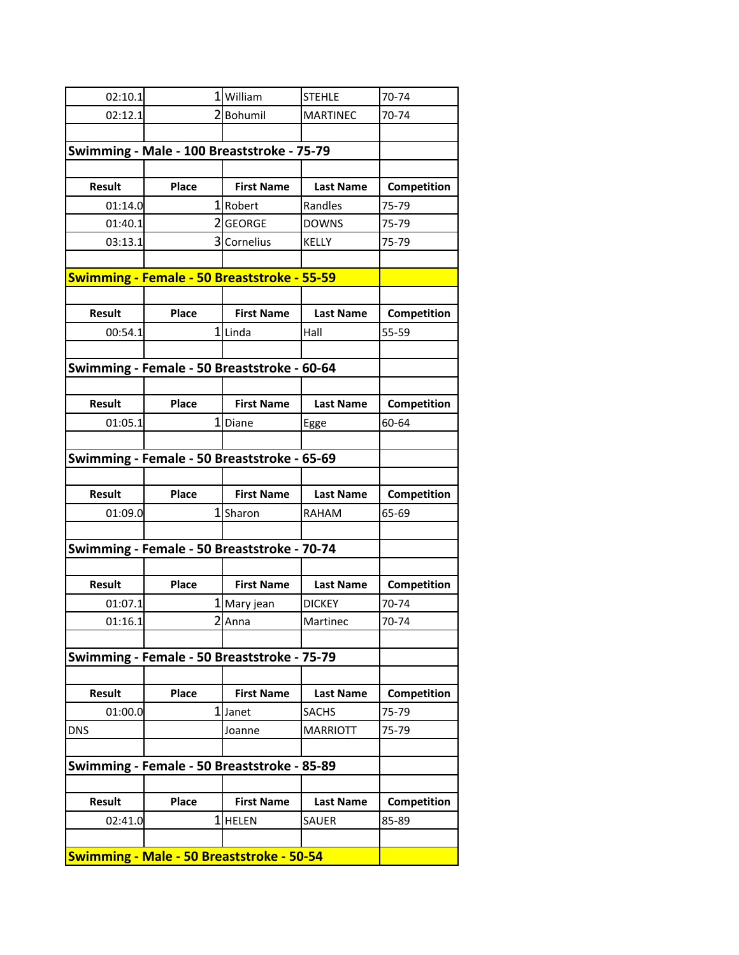| 02:10.1       |                                                  | 1William          | <b>STEHLE</b>    | 70-74       |
|---------------|--------------------------------------------------|-------------------|------------------|-------------|
| 02:12.1       |                                                  | 2Bohumil          | <b>MARTINEC</b>  | 70-74       |
|               |                                                  |                   |                  |             |
|               | Swimming - Male - 100 Breaststroke - 75-79       |                   |                  |             |
|               |                                                  |                   |                  |             |
| <b>Result</b> | Place                                            | <b>First Name</b> | <b>Last Name</b> | Competition |
| 01:14.0       |                                                  | 1 Robert          | Randles          | 75-79       |
| 01:40.1       |                                                  | 2 GEORGE          | <b>DOWNS</b>     | 75-79       |
| 03:13.1       |                                                  | 3 Cornelius       | <b>KELLY</b>     | 75-79       |
|               |                                                  |                   |                  |             |
|               | Swimming - Female - 50 Breaststroke - 55-59      |                   |                  |             |
|               |                                                  |                   |                  |             |
| <b>Result</b> | Place                                            | <b>First Name</b> | <b>Last Name</b> | Competition |
| 00:54.1       |                                                  | 1 Linda           | Hall             | 55-59       |
|               |                                                  |                   |                  |             |
|               | Swimming - Female - 50 Breaststroke - 60-64      |                   |                  |             |
|               |                                                  |                   |                  |             |
| Result        | Place                                            | <b>First Name</b> | <b>Last Name</b> | Competition |
| 01:05.1       |                                                  | 1Diane            | Egge             | 60-64       |
|               |                                                  |                   |                  |             |
|               | Swimming - Female - 50 Breaststroke - 65-69      |                   |                  |             |
|               |                                                  |                   |                  |             |
| <b>Result</b> | Place                                            | <b>First Name</b> | <b>Last Name</b> | Competition |
| 01:09.0       |                                                  | 1Sharon           | RAHAM            | 65-69       |
|               |                                                  |                   |                  |             |
|               | Swimming - Female - 50 Breaststroke - 70-74      |                   |                  |             |
|               |                                                  |                   |                  |             |
| <b>Result</b> | Place                                            | <b>First Name</b> | <b>Last Name</b> | Competition |
| 01:07.1       |                                                  | 1 Mary jean       | <b>DICKEY</b>    | 70-74       |
| 01:16.1       |                                                  | $2$  Anna         | Martinec         | 70-74       |
|               |                                                  |                   |                  |             |
|               | Swimming - Female - 50 Breaststroke - 75-79      |                   |                  |             |
|               |                                                  |                   |                  |             |
| Result        | Place                                            | <b>First Name</b> | <b>Last Name</b> | Competition |
| 01:00.0       |                                                  | 1 Janet           | <b>SACHS</b>     | 75-79       |
| <b>DNS</b>    |                                                  | Joanne            | <b>MARRIOTT</b>  | 75-79       |
|               |                                                  |                   |                  |             |
|               | Swimming - Female - 50 Breaststroke - 85-89      |                   |                  |             |
|               |                                                  |                   |                  |             |
| <b>Result</b> | Place                                            | <b>First Name</b> | <b>Last Name</b> | Competition |
| 02:41.0       |                                                  | 1 HELEN           | <b>SAUER</b>     | 85-89       |
|               |                                                  |                   |                  |             |
|               | <b>Swimming - Male - 50 Breaststroke - 50-54</b> |                   |                  |             |
|               |                                                  |                   |                  |             |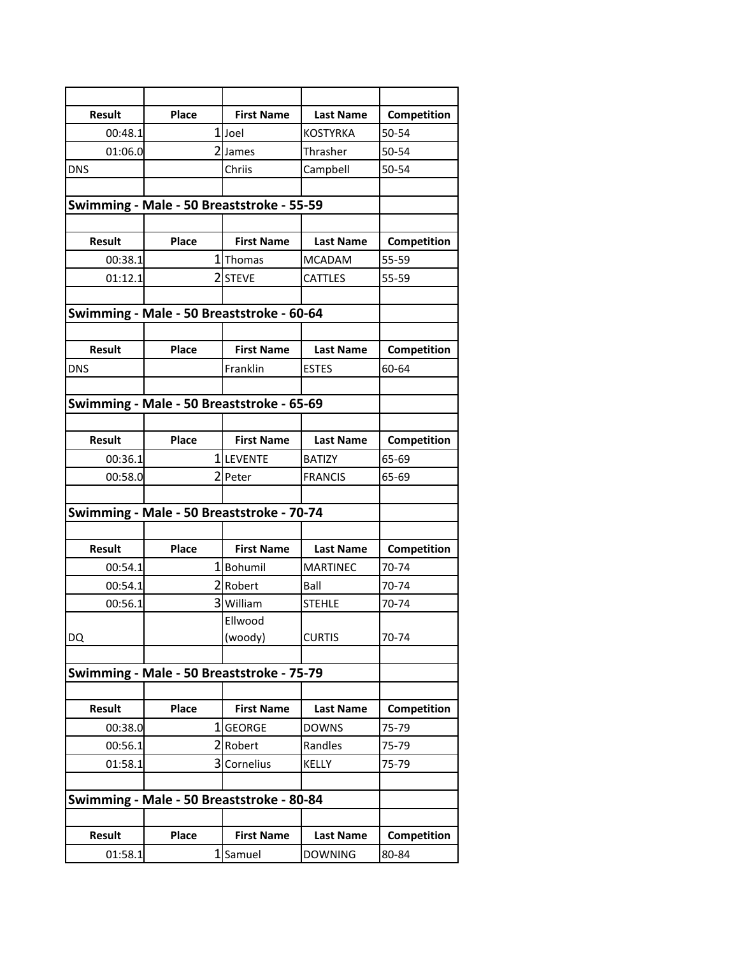| <b>Result</b>                             | Place                                     | <b>First Name</b> | <b>Last Name</b> | Competition |
|-------------------------------------------|-------------------------------------------|-------------------|------------------|-------------|
| 00:48.1                                   |                                           | 1Joel             | <b>KOSTYRKA</b>  | 50-54       |
| 01:06.0                                   |                                           | 2 James           | Thrasher         | 50-54       |
| <b>DNS</b>                                |                                           | Chriis            | Campbell         | 50-54       |
|                                           |                                           |                   |                  |             |
| Swimming - Male - 50 Breaststroke - 55-59 |                                           |                   |                  |             |
|                                           |                                           |                   |                  |             |
| <b>Result</b>                             | Place                                     | <b>First Name</b> | <b>Last Name</b> | Competition |
| 00:38.1                                   |                                           | 1 Thomas          | <b>MCADAM</b>    | 55-59       |
| 01:12.1                                   |                                           | 2STEVE            | <b>CATTLES</b>   | 55-59       |
|                                           |                                           |                   |                  |             |
|                                           | Swimming - Male - 50 Breaststroke - 60-64 |                   |                  |             |
| <b>Result</b>                             | Place                                     | <b>First Name</b> | <b>Last Name</b> | Competition |
| <b>DNS</b>                                |                                           | Franklin          | <b>ESTES</b>     | 60-64       |
|                                           |                                           |                   |                  |             |
|                                           | Swimming - Male - 50 Breaststroke - 65-69 |                   |                  |             |
|                                           |                                           |                   |                  |             |
| <b>Result</b>                             | Place                                     | <b>First Name</b> | <b>Last Name</b> | Competition |
| 00:36.1                                   |                                           | 1LEVENTE          | <b>BATIZY</b>    | 65-69       |
| 00:58.0                                   |                                           | 2 Peter           | <b>FRANCIS</b>   | 65-69       |
|                                           |                                           |                   |                  |             |
|                                           | Swimming - Male - 50 Breaststroke - 70-74 |                   |                  |             |
|                                           |                                           |                   |                  |             |
| <b>Result</b>                             | Place                                     | <b>First Name</b> | <b>Last Name</b> | Competition |
| 00:54.1                                   |                                           | 1Bohumil          | <b>MARTINEC</b>  | 70-74       |
| 00:54.1                                   |                                           | 2 Robert          | Ball             | 70-74       |
| 00:56.1                                   |                                           | 3 William         | <b>STEHLE</b>    | 70-74       |
|                                           |                                           | Ellwood           |                  |             |
| DQ                                        |                                           | (woody)           | <b>CURTIS</b>    | 70-74       |
|                                           |                                           |                   |                  |             |
|                                           | Swimming - Male - 50 Breaststroke - 75-79 |                   |                  |             |
|                                           |                                           |                   |                  |             |
| Result                                    | Place                                     | <b>First Name</b> | <b>Last Name</b> | Competition |
| 00:38.0                                   |                                           | 1GEORGE           | <b>DOWNS</b>     | 75-79       |
| 00:56.1                                   |                                           | 2 Robert          | Randles          | 75-79       |
| 01:58.1                                   |                                           | 3 Cornelius       | KELLY            | 75-79       |
|                                           |                                           |                   |                  |             |
|                                           | Swimming - Male - 50 Breaststroke - 80-84 |                   |                  |             |
| Result                                    | Place                                     | <b>First Name</b> |                  |             |
|                                           |                                           |                   | <b>Last Name</b> | Competition |
| 01:58.1                                   |                                           | 1 Samuel          | <b>DOWNING</b>   | 80-84       |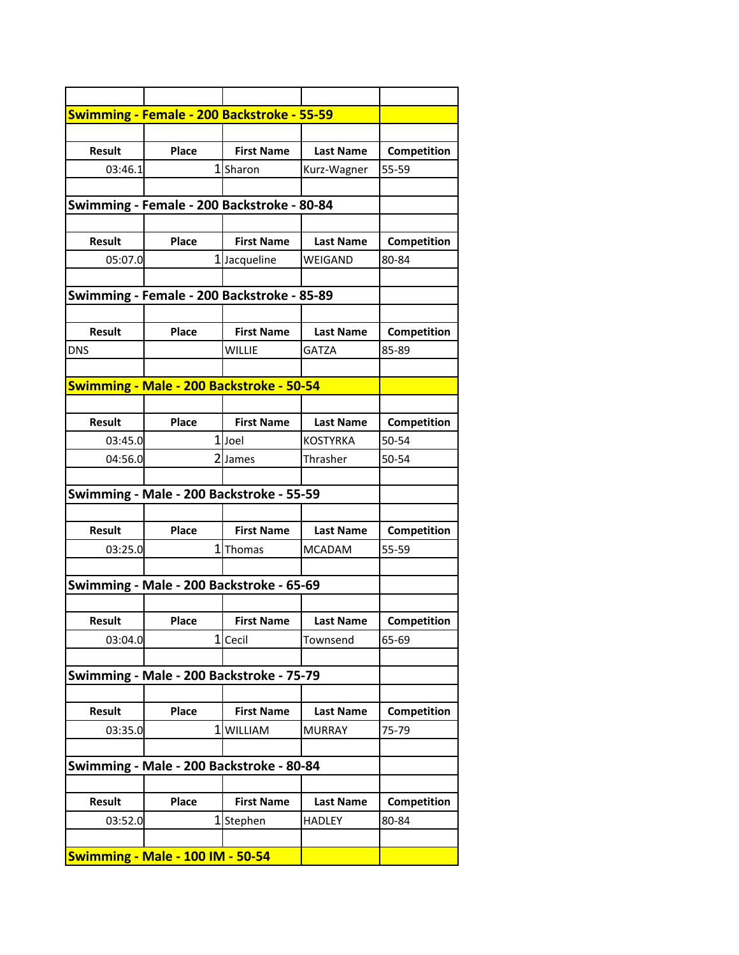| <b>Swimming - Female - 200 Backstroke - 55-59</b> |                                            |                   |                  |             |
|---------------------------------------------------|--------------------------------------------|-------------------|------------------|-------------|
|                                                   |                                            |                   |                  |             |
| <b>Result</b>                                     | Place                                      | <b>First Name</b> | <b>Last Name</b> | Competition |
| 03:46.1                                           |                                            | 1Sharon           | Kurz-Wagner      | 55-59       |
|                                                   |                                            |                   |                  |             |
| Swimming - Female - 200 Backstroke - 80-84        |                                            |                   |                  |             |
|                                                   |                                            |                   |                  |             |
| <b>Result</b>                                     | Place                                      | <b>First Name</b> | <b>Last Name</b> | Competition |
|                                                   |                                            |                   |                  |             |
| 05:07.0                                           |                                            | 1 Jacqueline      | WEIGAND          | 80-84       |
|                                                   |                                            |                   |                  |             |
|                                                   | Swimming - Female - 200 Backstroke - 85-89 |                   |                  |             |
|                                                   |                                            |                   |                  |             |
| <b>Result</b>                                     | Place                                      | <b>First Name</b> | <b>Last Name</b> | Competition |
| <b>DNS</b>                                        |                                            | WILLIE            | <b>GATZA</b>     | 85-89       |
|                                                   |                                            |                   |                  |             |
| Swimming - Male - 200 Backstroke - 50-54          |                                            |                   |                  |             |
|                                                   |                                            |                   |                  |             |
| <b>Result</b>                                     | <b>Place</b>                               | <b>First Name</b> | <b>Last Name</b> | Competition |
| 03:45.0                                           |                                            | 1Joel             | KOSTYRKA         | 50-54       |
| 04:56.0                                           |                                            | 2James            | Thrasher         | 50-54       |
|                                                   |                                            |                   |                  |             |
| Swimming - Male - 200 Backstroke - 55-59          |                                            |                   |                  |             |
|                                                   |                                            |                   |                  |             |
| <b>Result</b>                                     | Place                                      | <b>First Name</b> | <b>Last Name</b> | Competition |
| 03:25.0                                           |                                            | 1Thomas           | MCADAM           | 55-59       |
|                                                   |                                            |                   |                  |             |
| Swimming - Male - 200 Backstroke - 65-69          |                                            |                   |                  |             |
|                                                   |                                            |                   |                  |             |
| <b>Result</b>                                     | <b>Place</b>                               | <b>First Name</b> | <b>Last Name</b> | Competition |
| 03:04.0                                           |                                            | 1 Cecil           | Townsend         | 65-69       |
|                                                   |                                            |                   |                  |             |
| Swimming - Male - 200 Backstroke - 75-79          |                                            |                   |                  |             |
|                                                   |                                            |                   |                  |             |
| <b>Result</b>                                     | Place                                      | <b>First Name</b> | <b>Last Name</b> | Competition |
| 03:35.0                                           | 1                                          | <b>WILLIAM</b>    | <b>MURRAY</b>    | 75-79       |
|                                                   |                                            |                   |                  |             |
| Swimming - Male - 200 Backstroke - 80-84          |                                            |                   |                  |             |
|                                                   |                                            |                   |                  |             |
| Result                                            | Place                                      | <b>First Name</b> | <b>Last Name</b> | Competition |
| 03:52.0                                           |                                            | 1Stephen          | HADLEY           | 80-84       |
|                                                   |                                            |                   |                  |             |
| Swimming - Male - 100 IM - 50-54                  |                                            |                   |                  |             |
|                                                   |                                            |                   |                  |             |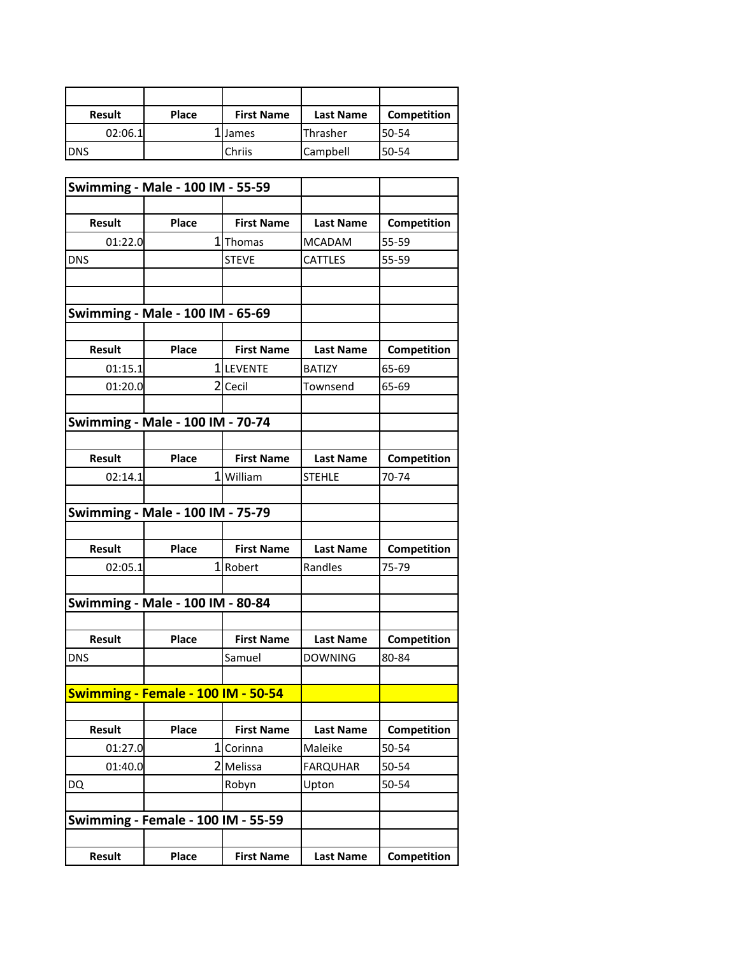| <b>Result</b> | <b>Place</b> | <b>First Name</b> | <b>Last Name</b> | Competition |
|---------------|--------------|-------------------|------------------|-------------|
| 02:06.1       |              | LIJames           | Thrasher         | 50-54       |
| <b>DNS</b>    |              | Chriis            | <b>Campbell</b>  | 50-54       |

|                                           | <b>Swimming - Male - 100 IM - 55-59</b> |                   |                  |             |
|-------------------------------------------|-----------------------------------------|-------------------|------------------|-------------|
|                                           |                                         |                   |                  |             |
| <b>Result</b>                             | Place                                   | <b>First Name</b> | <b>Last Name</b> | Competition |
| 01:22.0                                   |                                         | 1 Thomas          | <b>MCADAM</b>    | 55-59       |
| DNS                                       |                                         | <b>STEVE</b>      | <b>CATTLES</b>   | 55-59       |
|                                           |                                         |                   |                  |             |
|                                           |                                         |                   |                  |             |
|                                           | Swimming - Male - 100 IM - 65-69        |                   |                  |             |
|                                           |                                         |                   |                  |             |
| <b>Result</b>                             | Place                                   | <b>First Name</b> | <b>Last Name</b> | Competition |
| 01:15.1                                   |                                         | 1LEVENTE          | <b>BATIZY</b>    | 65-69       |
| 01:20.0                                   |                                         | 2 Cecil           | Townsend         | 65-69       |
|                                           |                                         |                   |                  |             |
|                                           | <b>Swimming - Male - 100 IM - 70-74</b> |                   |                  |             |
|                                           |                                         |                   |                  |             |
| <b>Result</b>                             | Place                                   | <b>First Name</b> | <b>Last Name</b> | Competition |
| 02:14.1                                   |                                         | 1 William         | <b>STEHLE</b>    | 70-74       |
|                                           |                                         |                   |                  |             |
|                                           | <b>Swimming - Male - 100 IM - 75-79</b> |                   |                  |             |
|                                           |                                         |                   |                  |             |
| <b>Result</b>                             | Place                                   | <b>First Name</b> | <b>Last Name</b> | Competition |
| 02:05.1                                   |                                         | 1 Robert          | Randles          | 75-79       |
|                                           |                                         |                   |                  |             |
| Swimming - Male - 100 IM - 80-84          |                                         |                   |                  |             |
|                                           |                                         |                   |                  |             |
| <b>Result</b>                             | Place                                   | <b>First Name</b> | <b>Last Name</b> | Competition |
| <b>DNS</b>                                |                                         | Samuel            | <b>DOWNING</b>   | 80-84       |
|                                           |                                         |                   |                  |             |
|                                           | Swimming - Female - 100 IM - 50-54      |                   |                  |             |
|                                           |                                         |                   |                  |             |
| <b>Result</b>                             | Place                                   | <b>First Name</b> | <b>Last Name</b> | Competition |
| 01:27.0                                   |                                         | 1 Corinna         | Maleike          | 50-54       |
| 01:40.0                                   |                                         | 2 Melissa         | <b>FARQUHAR</b>  | 50-54       |
| DQ                                        |                                         | Robyn             | Upton            | 50-54       |
|                                           |                                         |                   |                  |             |
| <b>Swimming - Female - 100 IM - 55-59</b> |                                         |                   |                  |             |
|                                           |                                         |                   |                  |             |
| <b>Result</b>                             | Place                                   | <b>First Name</b> | <b>Last Name</b> | Competition |